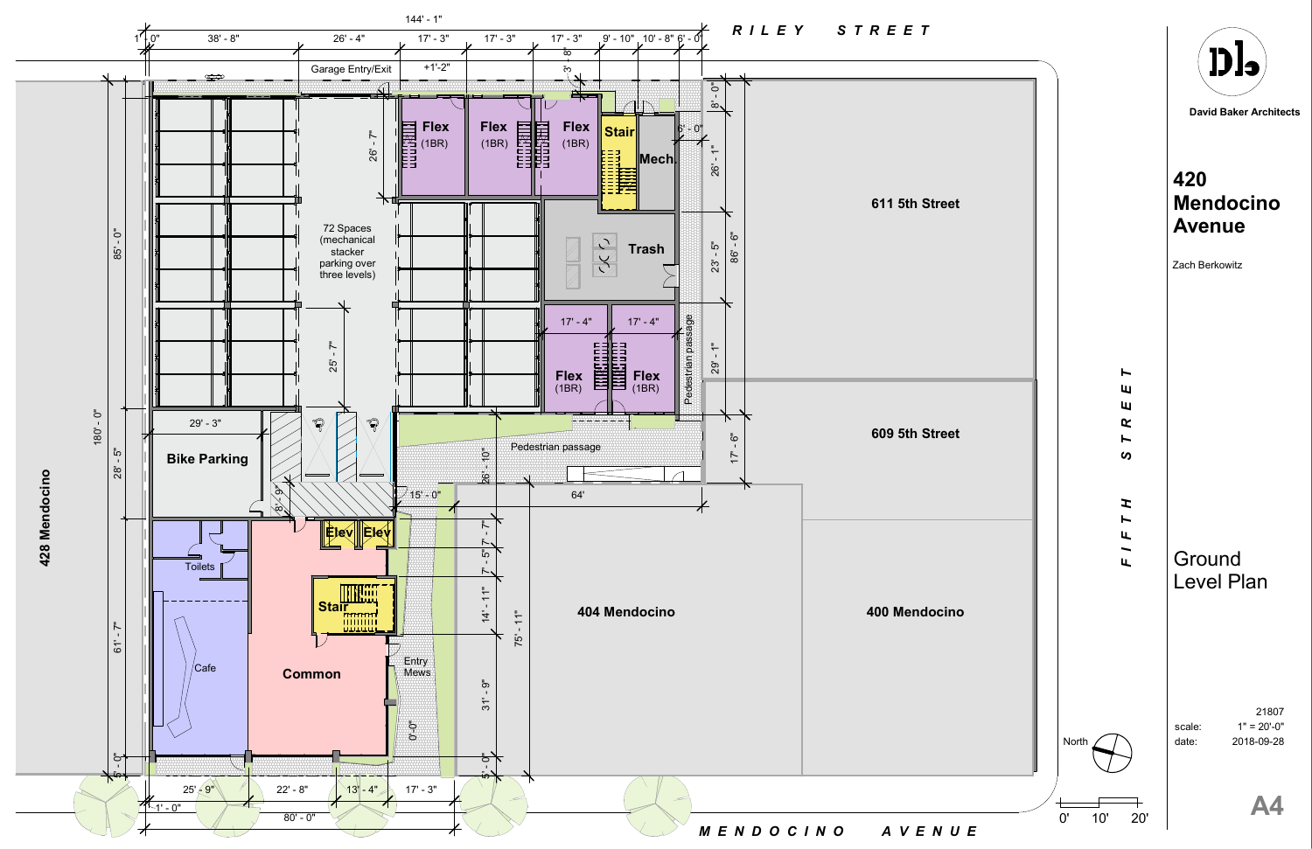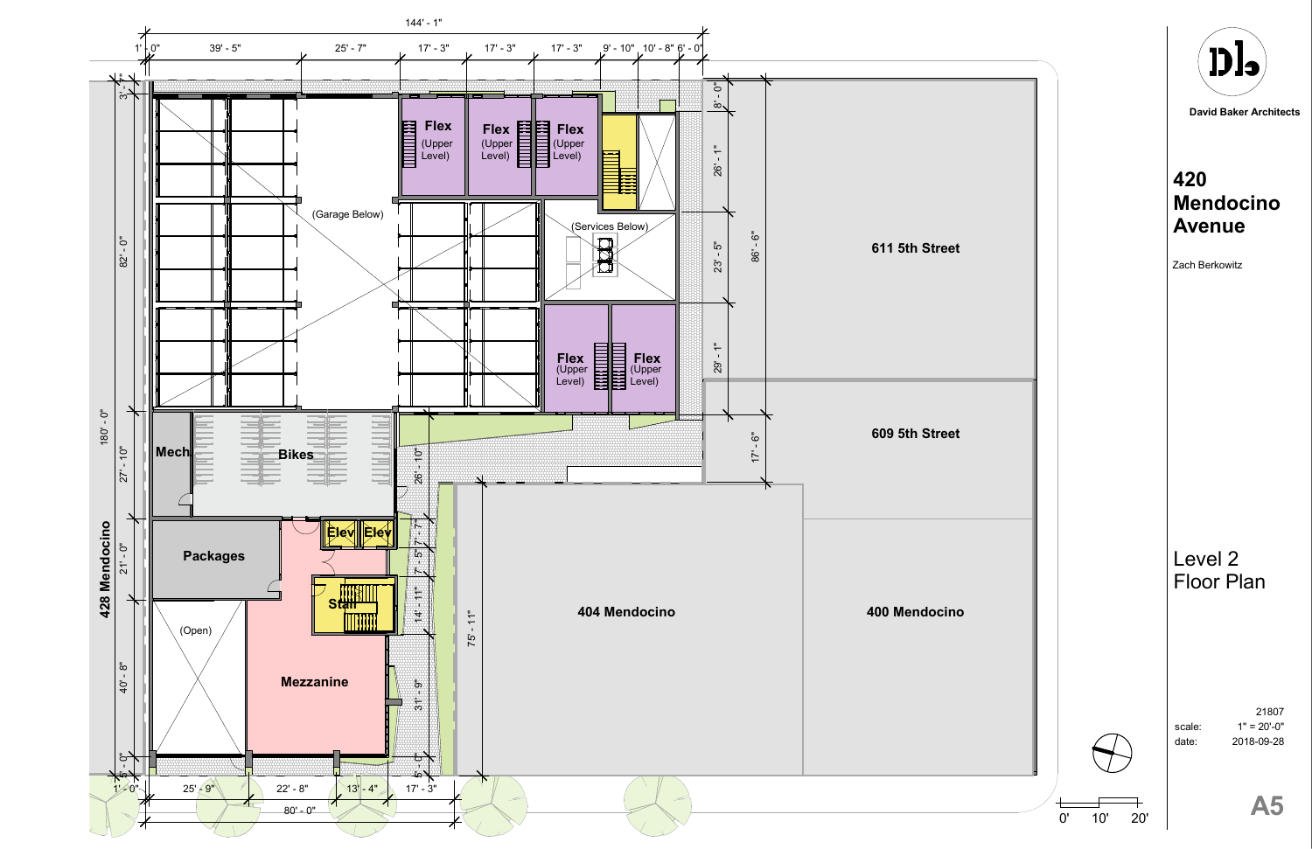$1" = 20'-0"$ 21807 2018-09-28





scale: date:

**David Baker Architects**



# **420 Mendocino Avenue**

### Level 2 Floor Plan

Zach Berkowitz

0' 10' 20'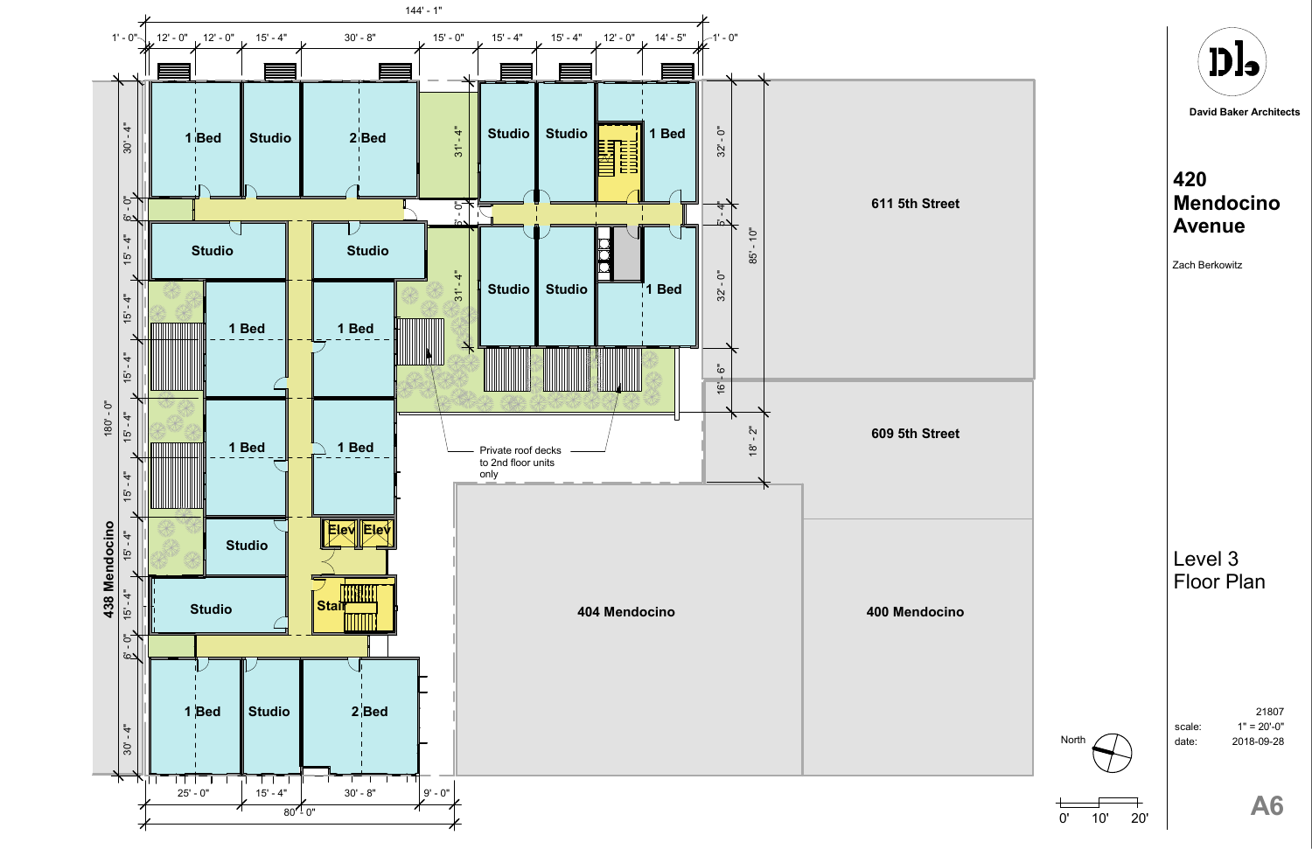



 $1" = 20' - 0"$ 21807 2018-09-28

scale: date:

**David Baker Architects**



# **420 Mendocino Avenue**

### Level 3 Floor Plan

Zach Berkowitz



North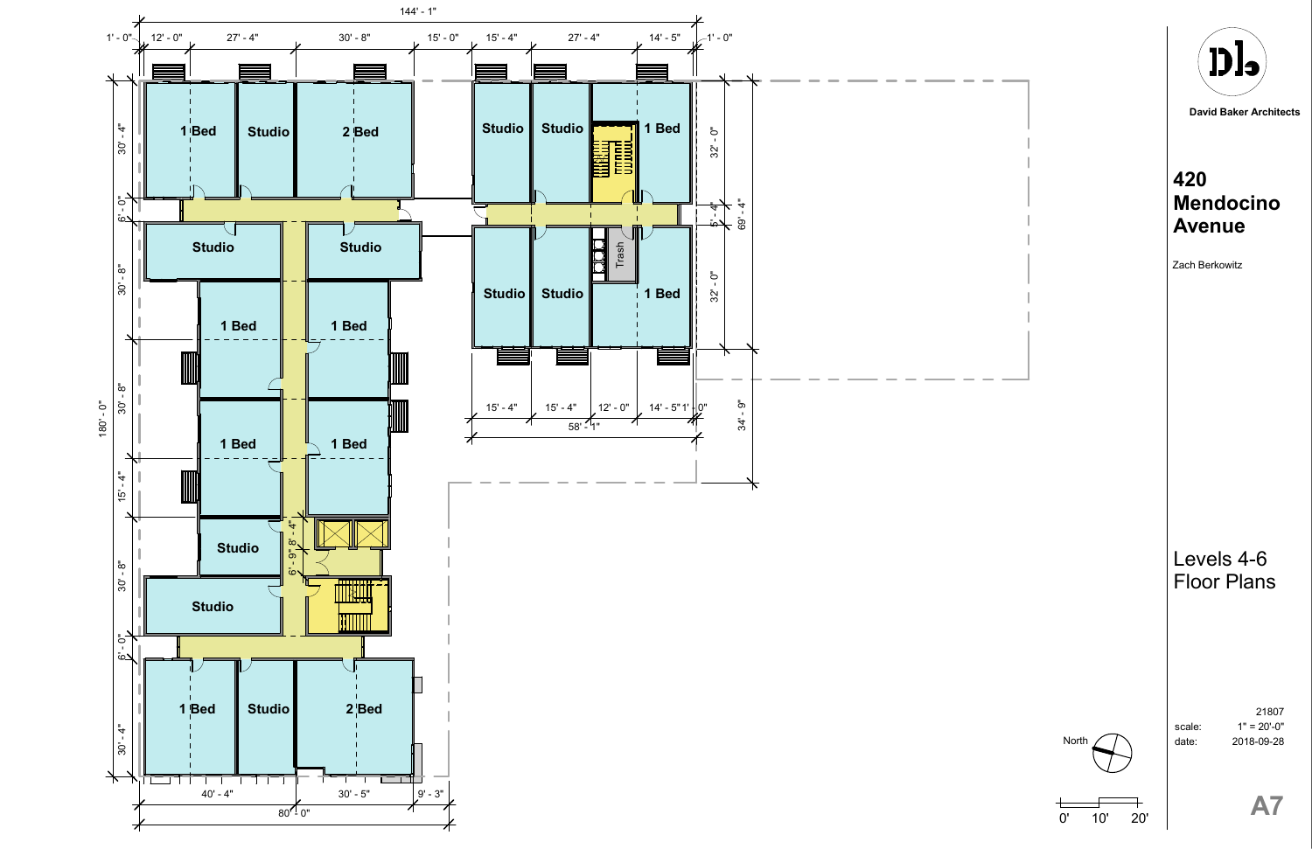$1" = 20' - 0"$ 21807 2018-09-28





scale: date:

**David Baker Architects**



# **420 Mendocino Avenue**

#### Levels 4-6 Floor Plans

Zach Berkowitz

0' 10' 20'

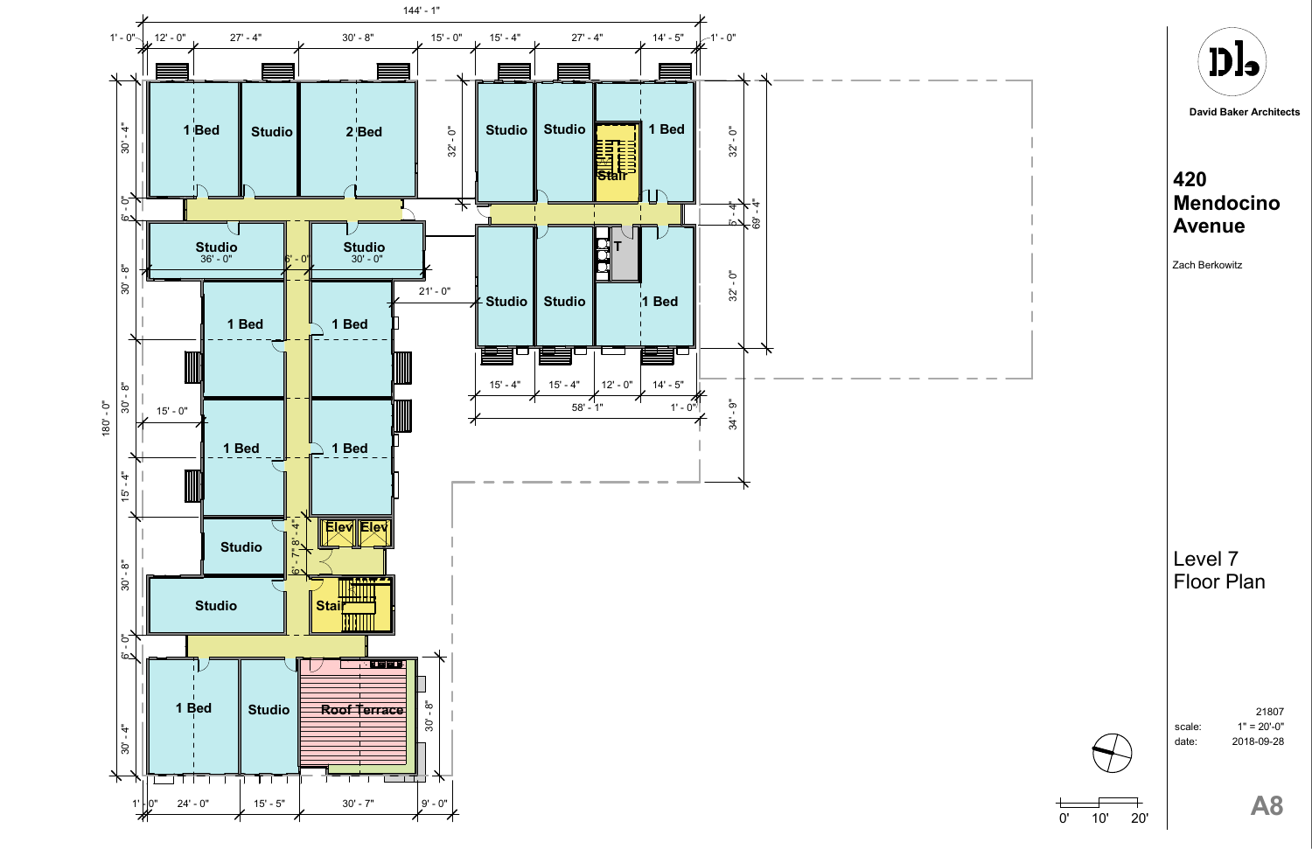$1" = 20'-0"$ 21807 2018-09-28







scale: date:

**David Baker Architects**



# **420 Mendocino Avenue**

#### Level 7 Floor Plan

Zach Berkowitz